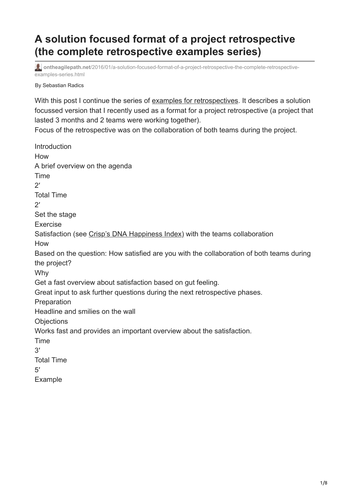## **A solution focused format of a project retrospective (the complete retrospective examples series)**

**ontheagilepath.net**[/2016/01/a-solution-focused-format-of-a-project-retrospective-the-complete-retrospective](https://www.ontheagilepath.net/2016/01/a-solution-focused-format-of-a-project-retrospective-the-complete-retrospective-examples-series.html)examples-series.html

By Sebastian Radics

With this post I continue the series of [examples for retrospectives](http://www.ontheagilepath.net/tag/retrospectiveexamples). It describes a solution focussed version that I recently used as a format for a project retrospective (a project that lasted 3 months and 2 teams were working together).

Focus of the retrospective was on the collaboration of both teams during the project.

Introduction How A brief overview on the agenda Time  $2'$ Total Time  $2'$ Set the stage Exercise Satisfaction (see [Crisp's DNA Happiness Index\)](http://dna.crisp.se/docs/happiness-index.html) with the teams collaboration How Based on the question: How satisfied are you with the collaboration of both teams during the project? Why Get a fast overview about satisfaction based on gut feeling. Great input to ask further questions during the next retrospective phases. **Preparation** Headline and smilies on the wall **Objections** Works fast and provides an important overview about the satisfaction. Time 3′ Total Time 5′ Example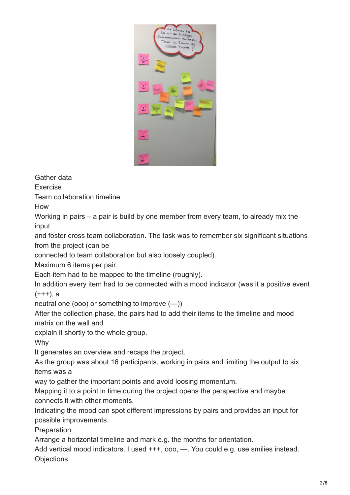

Gather data

Exercise

Team collaboration timeline

How

Working in pairs – a pair is build by one member from every team, to already mix the input

and foster cross team collaboration. The task was to remember six significant situations from the project (can be

connected to team collaboration but also loosely coupled).

Maximum 6 items per pair.

Each item had to be mapped to the timeline (roughly).

In addition every item had to be connected with a mood indicator (was it a positive event  $(+++)$ , a

neutral one (ooo) or something to improve (—))

After the collection phase, the pairs had to add their items to the timeline and mood matrix on the wall and

explain it shortly to the whole group.

Why

It generates an overview and recaps the project.

As the group was about 16 participants, working in pairs and limiting the output to six items was a

way to gather the important points and avoid loosing momentum.

Mapping it to a point in time during the project opens the perspective and maybe connects it with other moments.

Indicating the mood can spot different impressions by pairs and provides an input for possible improvements.

**Preparation** 

Arrange a horizontal timeline and mark e.g. the months for orientation.

Add vertical mood indicators. I used  $+++$ , ooo, - You could e.g. use smilies instead. **Objections**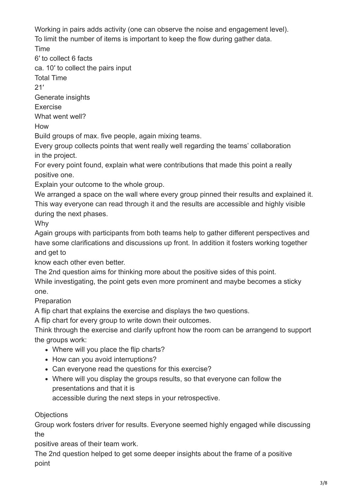Working in pairs adds activity (one can observe the noise and engagement level).

To limit the number of items is important to keep the flow during gather data.

Time

6′ to collect 6 facts

ca. 10′ to collect the pairs input

Total Time

 $21'$ 

Generate insights

Exercise

What went well?

How

Build groups of max. five people, again mixing teams.

Every group collects points that went really well regarding the teams' collaboration in the project.

For every point found, explain what were contributions that made this point a really positive one.

Explain your outcome to the whole group.

We arranged a space on the wall where every group pinned their results and explained it. This way everyone can read through it and the results are accessible and highly visible during the next phases.

Why

Again groups with participants from both teams help to gather different perspectives and have some clarifications and discussions up front. In addition it fosters working together and get to

know each other even better.

The 2nd question aims for thinking more about the positive sides of this point. While investigating, the point gets even more prominent and maybe becomes a sticky one.

Preparation

A flip chart that explains the exercise and displays the two questions.

A flip chart for every group to write down their outcomes.

Think through the exercise and clarify upfront how the room can be arrangend to support the groups work:

- Where will you place the flip charts?
- How can you avoid interruptions?
- Can everyone read the questions for this exercise?
- Where will you display the groups results, so that everyone can follow the presentations and that it is

accessible during the next steps in your retrospective.

**Objections** 

Group work fosters driver for results. Everyone seemed highly engaged while discussing the

positive areas of their team work.

The 2nd question helped to get some deeper insights about the frame of a positive point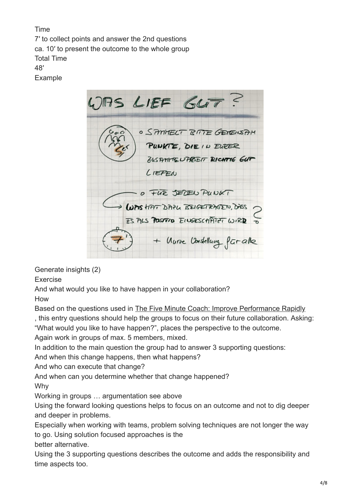Time 7′ to collect points and answer the 2nd questions ca. 10′ to present the outcome to the whole group Total Time 48′

Example

WAS LIEF GLIT? **O SAMMELT BITE GENERAH** PUNKTE, DIE IN EURER ZUSTATIVIE UPPEEIT RICHTIG GUT LIEFEN O FUE JEDEN PUNKT ODAS HAT DAYL BEIGETRAGEN, DASS. IS ALS POSITIO EINGESCHATIFT WIRD + Unive Vordellung for alle

Generate insights (2)

Exercise

And what would you like to have happen in your collaboration?

How

Based on the questions used in [The Five Minute Coach: Improve Performance Rapidly](http://www.amazon.de/gp/product/1845908007/ref=as_li_tl?ie=UTF8&camp=1638&creative=19454&creativeASIN=1845908007&linkCode=as2&tag=httpwwwradics-21)

, this entry questions should help the groups to focus on their future collaboration. Asking: "What would you like to have happen?", places the perspective to the outcome.

Again work in groups of max. 5 members, mixed.

In addition to the main question the group had to answer 3 supporting questions:

And when this change happens, then what happens?

And who can execute that change?

And when can you determine whether that change happened?

Why

Working in groups … argumentation see above

Using the forward looking questions helps to focus on an outcome and not to dig deeper and deeper in problems.

Especially when working with teams, problem solving techniques are not longer the way to go. Using solution focused approaches is the

better alternative.

Using the 3 supporting questions describes the outcome and adds the responsibility and time aspects too.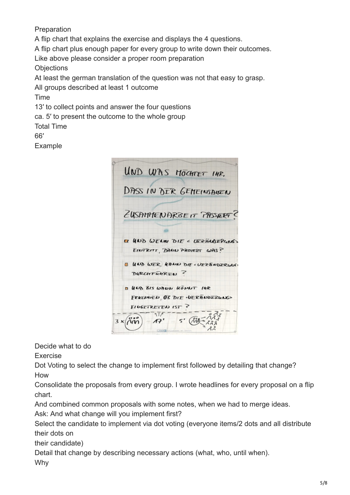Preparation A flip chart that explains the exercise and displays the 4 questions. A flip chart plus enough paper for every group to write down their outcomes. Like above please consider a proper room preparation **Objections** At least the german translation of the question was not that easy to grasp. All groups described at least 1 outcome Time 13′ to collect points and answer the four questions ca. 5′ to present the outcome to the whole group Total Time

## 66′

Example

UND WAS MOCHTET INR. DASS IN DER GEMEINSANEN EUSAMMENARBEIT PASSERT ET HND WEDN DIE < VERÄNDERGAS> EINTRITT, DANN PASIERT WAS? **B UND WER KANN DIE « UZZANDZRUUCH** DURCHFUHREN ? **B UCD BIS WALL KONNT INE** FRAEDWED OF DIE . VERANDERUNG EILGETRETEN IST ?  $\overline{A}$  $5'$  $\sqrt{\alpha}$ 17

Decide what to do

Exercise

Dot Voting to select the change to implement first followed by detailing that change? How

Consolidate the proposals from every group. I wrote headlines for every proposal on a flip chart.

And combined common proposals with some notes, when we had to merge ideas.

Ask: And what change will you implement first?

Select the candidate to implement via dot voting (everyone items/2 dots and all distribute their dots on

their candidate)

Detail that change by describing necessary actions (what, who, until when). Why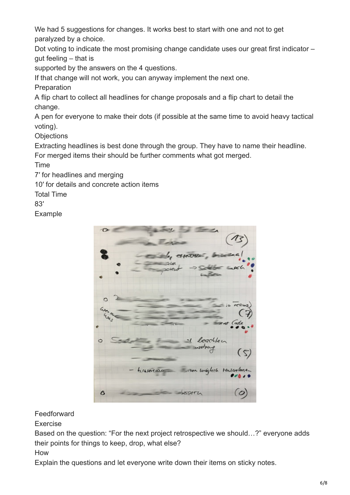We had 5 suggestions for changes. It works best to start with one and not to get paralyzed by a choice.

Dot voting to indicate the most promising change candidate uses our great first indicator – gut feeling – that is

supported by the answers on the 4 questions.

If that change will not work, you can anyway implement the next one.

**Preparation** 

A flip chart to collect all headlines for change proposals and a flip chart to detail the change.

A pen for everyone to make their dots (if possible at the same time to avoid heavy tactical voting).

**Objections** 

Extracting headlines is best done through the group. They have to name their headline. For merged items their should be further comments what got merged.

Time

7′ for headlines and merging

10′ for details and concrete action items

Total Time

83′

Example



## **Feedforward**

Exercise

Based on the question: "For the next project retrospective we should…?" everyone adds their points for things to keep, drop, what else?

How

Explain the questions and let everyone write down their items on sticky notes.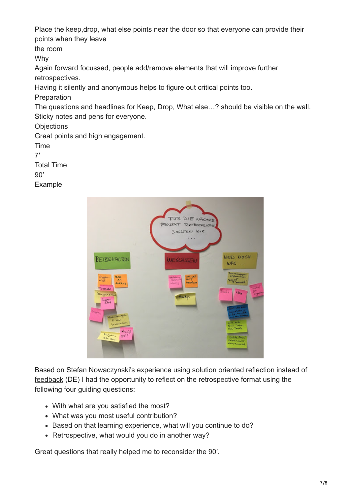Place the keep,drop, what else points near the door so that everyone can provide their points when they leave

the room

Why

Again forward focussed, people add/remove elements that will improve further retrospectives.

Having it silently and anonymous helps to figure out critical points too.

Preparation

The questions and headlines for Keep, Drop, What else…? should be visible on the wall. Sticky notes and pens for everyone.

**Objections** 

Great points and high engagement.

Time 7′ Total Time 90′

Example



[Based on Stefan Nowaczynski's experience using solution oriented reflection instead of](http://www.stefan-nowaczynski.de/loesungsorientierte-reflexion-statt-feedback/) feedback (DE) I had the opportunity to reflect on the retrospective format using the following four guiding questions:

- With what are you satisfied the most?
- What was you most useful contribution?
- Based on that learning experience, what will you continue to do?
- Retrospective, what would you do in another way?

Great questions that really helped me to reconsider the 90′.